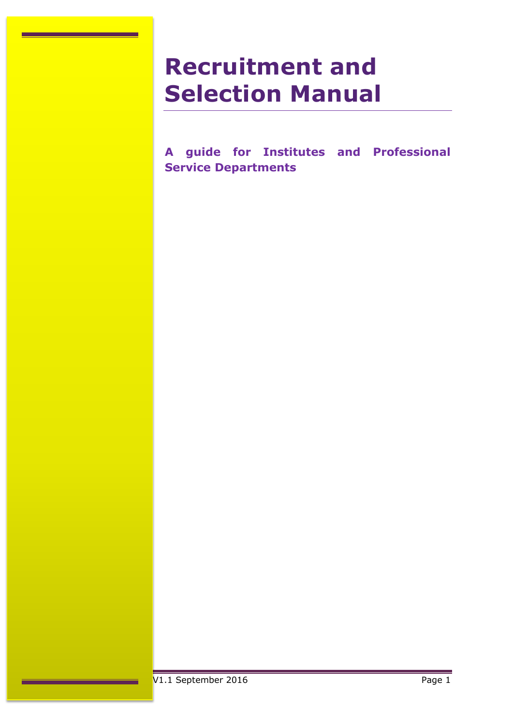# **Recruitment and Selection Manual**

**A guide for Institutes and Professional Service Departments**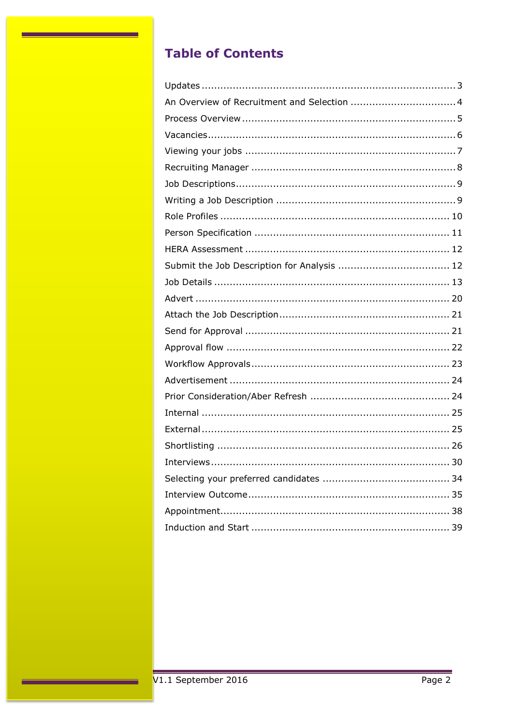# **Table of Contents**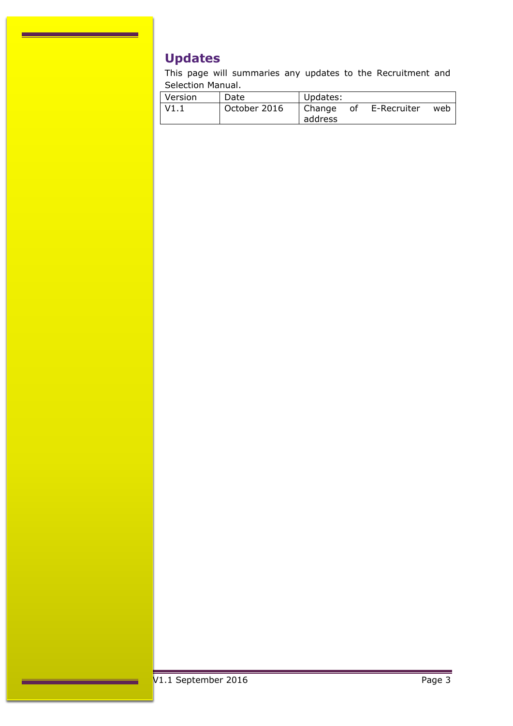# <span id="page-2-0"></span>**Updates**

This page will summaries any updates to the Recruitment and Selection Manual.

| Version | Date         | Updates:          |    |             |     |
|---------|--------------|-------------------|----|-------------|-----|
| V1.1    | October 2016 | Change<br>address | 0f | E-Recruiter | web |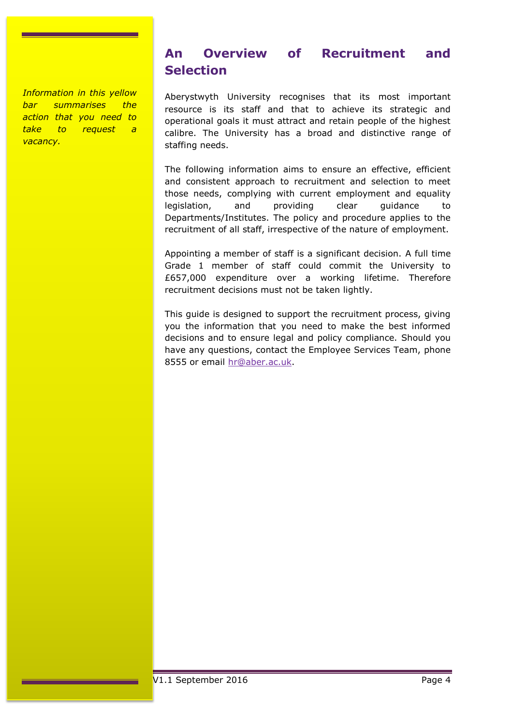### *Information in this yellow bar summarises the action that you need to take to request a vacancy.*

# <span id="page-3-0"></span>**An Overview of Recruitment and Selection**

Aberystwyth University recognises that its most important resource is its staff and that to achieve its strategic and operational goals it must attract and retain people of the highest calibre. The University has a broad and distinctive range of staffing needs.

The following information aims to ensure an effective, efficient and consistent approach to recruitment and selection to meet those needs, complying with current employment and equality legislation, and providing clear guidance to Departments/Institutes. The policy and procedure applies to the recruitment of all staff, irrespective of the nature of employment.

Appointing a member of staff is a significant decision. A full time Grade 1 member of staff could commit the University to £657,000 expenditure over a working lifetime. Therefore recruitment decisions must not be taken lightly.

This guide is designed to support the recruitment process, giving you the information that you need to make the best informed decisions and to ensure legal and policy compliance. Should you have any questions, contact the Employee Services Team, phone 8555 or email [hr@aber.ac.uk.](mailto:hr@aber.ac.uk)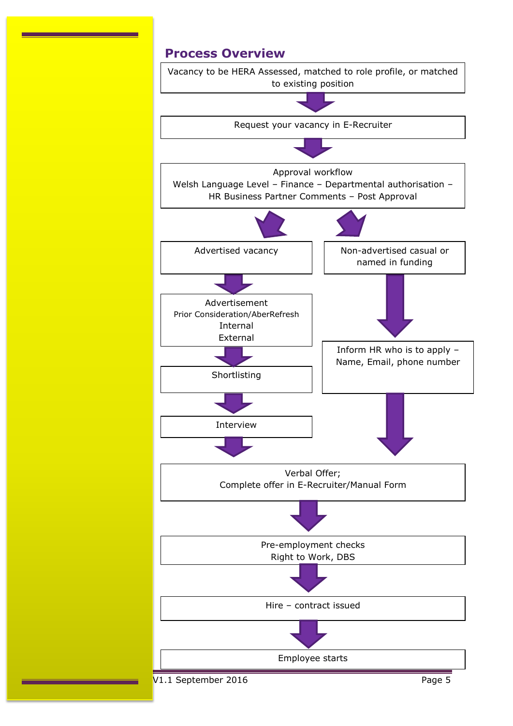# <span id="page-4-0"></span>**Process Overview**

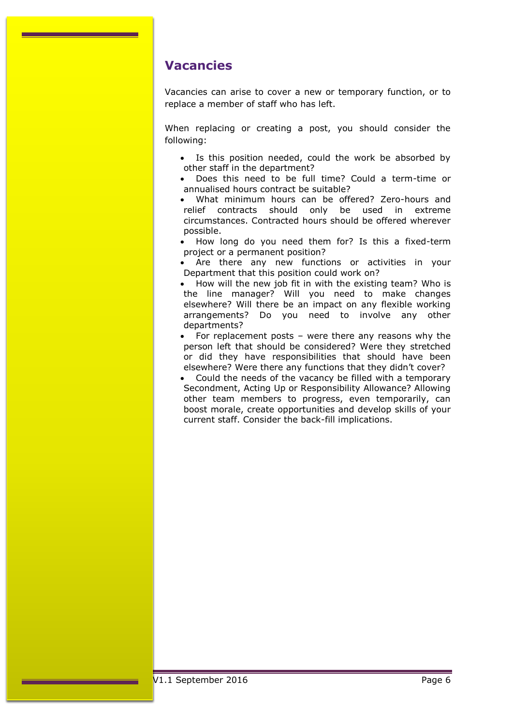# <span id="page-5-0"></span>**Vacancies**

Vacancies can arise to cover a new or temporary function, or to replace a member of staff who has left.

When replacing or creating a post, you should consider the following:

- Is this position needed, could the work be absorbed by other staff in the department?
- Does this need to be full time? Could a term-time or annualised hours contract be suitable?
- What minimum hours can be offered? Zero-hours and relief contracts should only be used in extreme circumstances. Contracted hours should be offered wherever possible.
- How long do you need them for? Is this a fixed-term project or a permanent position?
- Are there any new functions or activities in your Department that this position could work on?
- How will the new job fit in with the existing team? Who is the line manager? Will you need to make changes elsewhere? Will there be an impact on any flexible working arrangements? Do you need to involve any other departments?
- For replacement posts were there any reasons why the person left that should be considered? Were they stretched or did they have responsibilities that should have been elsewhere? Were there any functions that they didn't cover?
- Could the needs of the vacancy be filled with a temporary Secondment, Acting Up or Responsibility Allowance? Allowing other team members to progress, even temporarily, can boost morale, create opportunities and develop skills of your current staff. Consider the back-fill implications.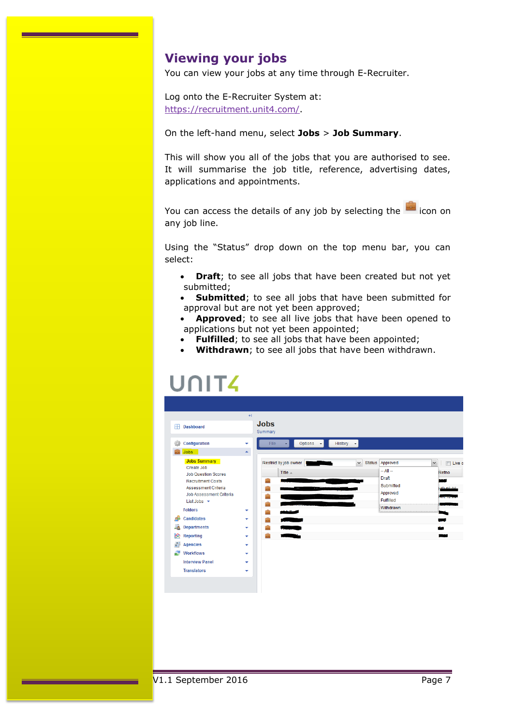# <span id="page-6-0"></span>**Viewing your jobs**

You can view your jobs at any time through E-Recruiter.

Log onto the E-Recruiter System at: [https://recruitment.unit4.com/.](https://recruitment.unit4.com/)

### On the left-hand menu, select **Jobs** > **Job Summary**.

This will show you all of the jobs that you are authorised to see. It will summarise the job title, reference, advertising dates, applications and appointments.

You can access the details of any job by selecting the icon on any job line.

Using the "Status" drop down on the top menu bar, you can select:

- **Draft**; to see all jobs that have been created but not yet submitted;
- **Submitted**; to see all jobs that have been submitted for approval but are not yet been approved;
- **Approved**; to see all live jobs that have been opened to applications but not yet been appointed;
- **Fulfilled**; to see all jobs that have been appointed;
- **Withdrawn**; to see all jobs that have been withdrawn.

# UNIT

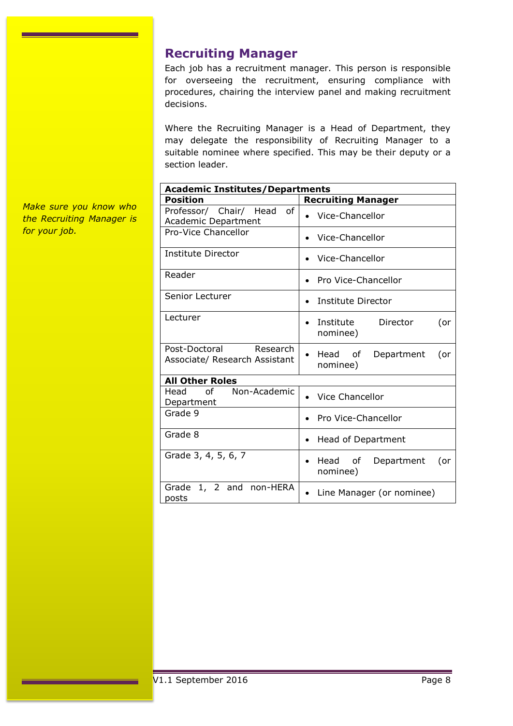# <span id="page-7-0"></span>**Recruiting Manager**

Each job has a recruitment manager. This person is responsible for overseeing the recruitment, ensuring compliance with procedures, chairing the interview panel and making recruitment decisions.

Where the Recruiting Manager is a Head of Department, they may delegate the responsibility of Recruiting Manager to a suitable nominee where specified. This may be their deputy or a section leader.

| <b>Academic Institutes/Departments</b>                     |                                                       |  |  |
|------------------------------------------------------------|-------------------------------------------------------|--|--|
| <b>Position</b>                                            | <b>Recruiting Manager</b>                             |  |  |
| Professor/ Chair/ Head<br>of<br><b>Academic Department</b> | Vice-Chancellor                                       |  |  |
| <b>Pro-Vice Chancellor</b>                                 | Vice-Chancellor                                       |  |  |
| Institute Director                                         | Vice-Chancellor                                       |  |  |
| Reader                                                     | <b>Pro Vice-Chancellor</b><br>$\bullet$               |  |  |
| Senior Lecturer                                            | Institute Director<br>$\bullet$                       |  |  |
| Lecturer                                                   | Institute<br>Director<br>(or<br>$\bullet$<br>nominee) |  |  |
| Post-Doctoral<br>Research<br>Associate/ Research Assistant | Head of<br>Department<br>(or<br>nominee)              |  |  |
| <b>All Other Roles</b>                                     |                                                       |  |  |
| Non-Academic<br>Head<br>of<br>Department                   | Vice Chancellor                                       |  |  |
| Grade 9                                                    | <b>Pro Vice-Chancellor</b>                            |  |  |
| Grade 8                                                    | Head of Department<br>٠                               |  |  |
| Grade 3, 4, 5, 6, 7                                        | Head of<br>Department<br>(or<br>$\bullet$<br>nominee) |  |  |
| 1, 2<br>non-HERA<br>Grade<br>and<br>posts                  | • Line Manager (or nominee)                           |  |  |

*Make sure you know who the Recruiting Manager is for your job.*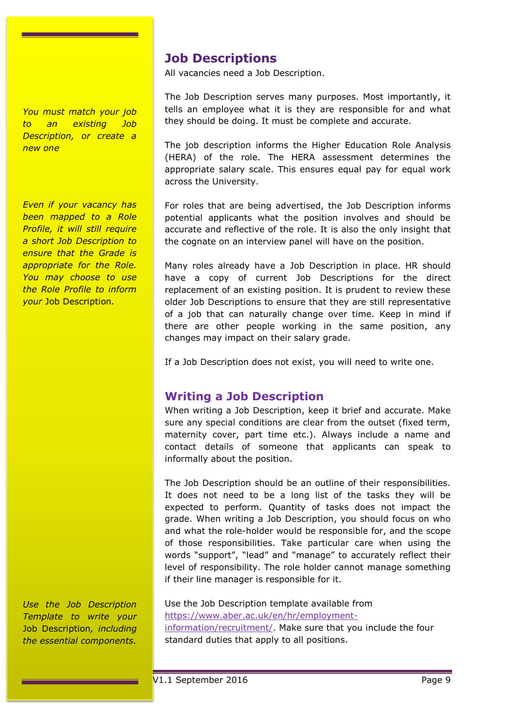*You must match your job to an existing Job Description, or create a new one*

*Even if your vacancy has been mapped to a Role Profile, it will still require a short Job Description to ensure that the Grade is appropriate for the Role. You may choose to use the Role Profile to inform your* Job Description*.*

*Use the Job Description Template to write your*  Job Description*, including the essential components.* 

# <span id="page-8-0"></span>**Job Descriptions**

All vacancies need a Job Description.

The Job Description serves many purposes. Most importantly, it tells an employee what it is they are responsible for and what they should be doing. It must be complete and accurate.

The job description informs the Higher Education Role Analysis (HERA) of the role. The HERA assessment determines the appropriate salary scale. This ensures equal pay for equal work across the University.

For roles that are being advertised, the Job Description informs potential applicants what the position involves and should be accurate and reflective of the role. It is also the only insight that the cognate on an interview panel will have on the position.

Many roles already have a Job Description in place. HR should have a copy of current Job Descriptions for the direct replacement of an existing position. It is prudent to review these older Job Descriptions to ensure that they are still representative of a job that can naturally change over time. Keep in mind if there are other people working in the same position, any changes may impact on their salary grade.

If a Job Description does not exist, you will need to write one.

# <span id="page-8-1"></span>**Writing a Job Description**

When writing a Job Description, keep it brief and accurate. Make sure any special conditions are clear from the outset (fixed term, maternity cover, part time etc.). Always include a name and contact details of someone that applicants can speak to informally about the position.

The Job Description should be an outline of their responsibilities. It does not need to be a long list of the tasks they will be expected to perform. Quantity of tasks does not impact the grade. When writing a Job Description, you should focus on who and what the role-holder would be responsible for, and the scope of those responsibilities. Take particular care when using the words "support", "lead" and "manage" to accurately reflect their level of responsibility. The role holder cannot manage something if their line manager is responsible for it.

Use the Job Description template available from [https://www.aber.ac.uk/en/hr/employment](https://www.aber.ac.uk/en/hr/employment-information/recruitment/)[information/recruitment/.](https://www.aber.ac.uk/en/hr/employment-information/recruitment/) Make sure that you include the four standard duties that apply to all positions.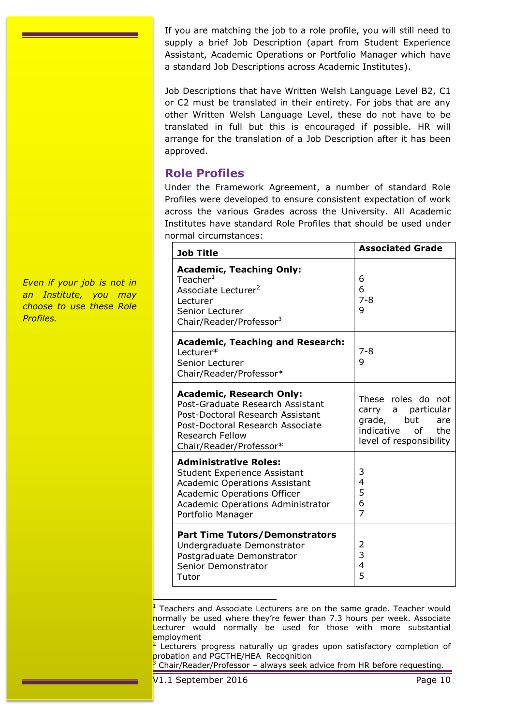If you are matching the job to a role profile, you will still need to supply a brief Job Description (apart from Student Experience Assistant, Academic Operations or Portfolio Manager which have a standard Job Descriptions across Academic Institutes).

Job Descriptions that have Written Welsh Language Level B2, C1 or C2 must be translated in their entirety. For jobs that are any other Written Welsh Language Level, these do not have to be translated in full but this is encouraged if possible. HR will arrange for the translation of a Job Description after it has been approved.

# <span id="page-9-0"></span>**Role Profiles**

Under the Framework Agreement, a number of standard Role Profiles were developed to ensure consistent expectation of work across the various Grades across the University. All Academic Institutes have standard Role Profiles that should be used under normal circumstances:

| <b>Job Title</b>                                                                                                                                                                                            | <b>Associated Grade</b>                                                                                             |
|-------------------------------------------------------------------------------------------------------------------------------------------------------------------------------------------------------------|---------------------------------------------------------------------------------------------------------------------|
| <b>Academic, Teaching Only:</b><br>Teacher $^1$<br>Associate Lecturer <sup>2</sup><br>Lecturer<br>Senior Lecturer<br>Chair/Reader/Professor <sup>3</sup>                                                    | 6<br>6<br>$7 - 8$<br>9                                                                                              |
| <b>Academic, Teaching and Research:</b><br>Lecturer*<br>Senior Lecturer<br>Chair/Reader/Professor*                                                                                                          | $7 - 8$<br>9                                                                                                        |
| <b>Academic, Research Only:</b><br>Post-Graduate Research Assistant<br>Post-Doctoral Research Assistant<br>Post-Doctoral Research Associate<br><b>Research Fellow</b><br>Chair/Reader/Professor*            | These roles do not<br>carry a particular<br>grade, but<br>are<br>indicative<br>of<br>the<br>level of responsibility |
| <b>Administrative Roles:</b><br><b>Student Experience Assistant</b><br><b>Academic Operations Assistant</b><br><b>Academic Operations Officer</b><br>Academic Operations Administrator<br>Portfolio Manager | 3<br>4<br>5<br>6<br>$\overline{z}$                                                                                  |
| <b>Part Time Tutors/Demonstrators</b><br>Undergraduate Demonstrator<br>Postgraduate Demonstrator<br>Senior Demonstrator<br>Tutor                                                                            | 2<br>3<br>4<br>5                                                                                                    |

ŀ <sup>1</sup> Teachers and Associate Lecturers are on the same grade. Teacher would normally be used where they're fewer than 7.3 hours per week. Associate Lecturer would normally be used for those with more substantial employment

*Even if your job is not in an Institute, you may choose to use these Role Profiles.*

<sup>2</sup> Lecturers progress naturally up grades upon satisfactory completion of probation and PGCTHE/HEA Recognition

<sup>3</sup> Chair/Reader/Professor – always seek advice from HR before requesting.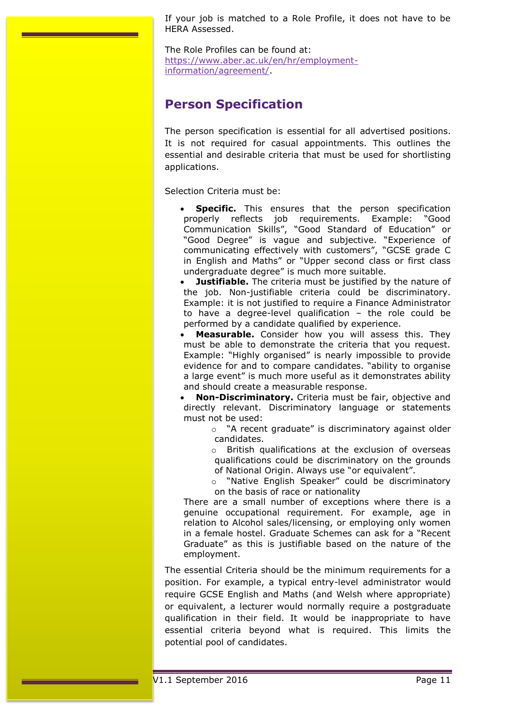If your job is matched to a Role Profile, it does not have to be HERA Assessed.

The Role Profiles can be found at: [https://www.aber.ac.uk/en/hr/employment](https://www.aber.ac.uk/en/hr/employment-information/agreement/)[information/agreement/.](https://www.aber.ac.uk/en/hr/employment-information/agreement/)

# <span id="page-10-0"></span>**Person Specification**

The person specification is essential for all advertised positions. It is not required for casual appointments. This outlines the essential and desirable criteria that must be used for shortlisting applications.

Selection Criteria must be:

- **Specific.** This ensures that the person specification properly reflects job requirements. Example: "Good Communication Skills", "Good Standard of Education" or "Good Degree" is vague and subjective. "Experience of communicating effectively with customers", "GCSE grade C in English and Maths" or "Upper second class or first class undergraduate degree" is much more suitable.
- **Justifiable.** The criteria must be justified by the nature of the job. Non-justifiable criteria could be discriminatory. Example: it is not justified to require a Finance Administrator to have a degree-level qualification – the role could be performed by a candidate qualified by experience.
- **Measurable.** Consider how you will assess this. They must be able to demonstrate the criteria that you request. Example: "Highly organised" is nearly impossible to provide evidence for and to compare candidates. "ability to organise a large event" is much more useful as it demonstrates ability and should create a measurable response.

 **Non-Discriminatory.** Criteria must be fair, objective and directly relevant. Discriminatory language or statements must not be used:

o "A recent graduate" is discriminatory against older candidates.

o British qualifications at the exclusion of overseas qualifications could be discriminatory on the grounds of National Origin. Always use "or equivalent".

o "Native English Speaker" could be discriminatory on the basis of race or nationality

There are a small number of exceptions where there is a genuine occupational requirement. For example, age in relation to Alcohol sales/licensing, or employing only women in a female hostel. Graduate Schemes can ask for a "Recent Graduate" as this is justifiable based on the nature of the employment.

The essential Criteria should be the minimum requirements for a position. For example, a typical entry-level administrator would require GCSE English and Maths (and Welsh where appropriate) or equivalent, a lecturer would normally require a postgraduate qualification in their field. It would be inappropriate to have essential criteria beyond what is required. This limits the potential pool of candidates.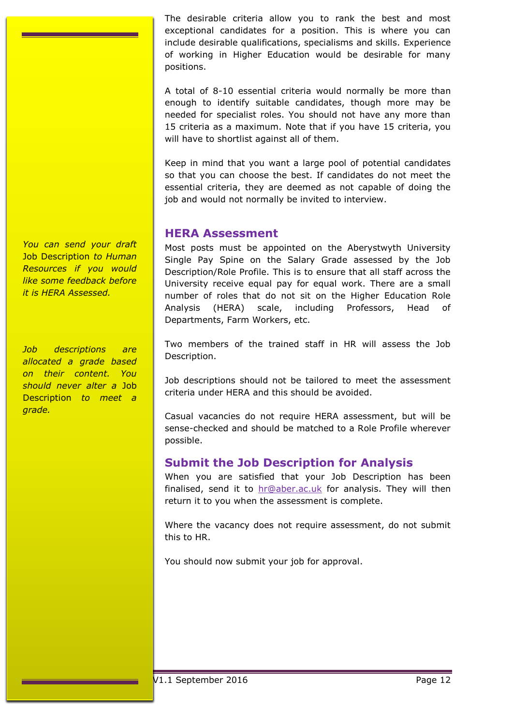The desirable criteria allow you to rank the best and most exceptional candidates for a position. This is where you can include desirable qualifications, specialisms and skills. Experience of working in Higher Education would be desirable for many positions.

A total of 8-10 essential criteria would normally be more than enough to identify suitable candidates, though more may be needed for specialist roles. You should not have any more than 15 criteria as a maximum. Note that if you have 15 criteria, you will have to shortlist against all of them.

Keep in mind that you want a large pool of potential candidates so that you can choose the best. If candidates do not meet the essential criteria, they are deemed as not capable of doing the job and would not normally be invited to interview.

# <span id="page-11-0"></span>**HERA Assessment**

Most posts must be appointed on the Aberystwyth University Single Pay Spine on the Salary Grade assessed by the Job Description/Role Profile. This is to ensure that all staff across the University receive equal pay for equal work. There are a small number of roles that do not sit on the Higher Education Role Analysis (HERA) scale, including Professors, Head of Departments, Farm Workers, etc.

Two members of the trained staff in HR will assess the Job Description.

Job descriptions should not be tailored to meet the assessment criteria under HERA and this should be avoided.

Casual vacancies do not require HERA assessment, but will be sense-checked and should be matched to a Role Profile wherever possible.

# <span id="page-11-1"></span>**Submit the Job Description for Analysis**

When you are satisfied that your Job Description has been finalised, send it to  $hr@aber.ac.uk$  for analysis. They will then return it to you when the assessment is complete.

Where the vacancy does not require assessment, do not submit this to HR.

You should now submit your job for approval.

*You can send your draft*  Job Description *to Human Resources if you would like some feedback before it is HERA Assessed.*

*Job descriptions are allocated a grade based on their content. You should never alter a* Job Description *to meet a grade.*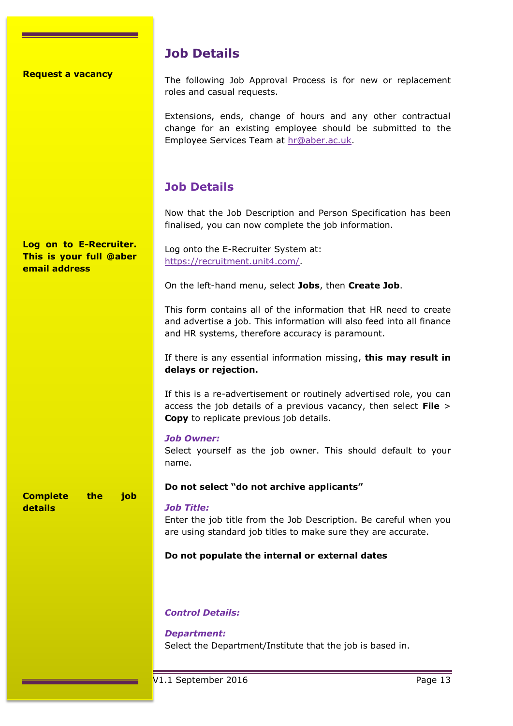#### **Request a vacancy**

# **Job Details**

The following Job Approval Process is for new or replacement roles and casual requests.

Extensions, ends, change of hours and any other contractual change for an existing employee should be submitted to the Employee Services Team at [hr@aber.ac.uk.](mailto:hr@aber.ac.uk)

# <span id="page-12-0"></span>**Job Details**

Now that the Job Description and Person Specification has been finalised, you can now complete the job information.

Log onto the E-Recruiter System at: [https://recruitment.unit4.com/.](https://recruitment.unit4.com/) On the left-hand menu, select **Jobs**, then **Create Job**. This form contains all of the information that HR need to create and advertise a job. This information will also feed into all finance and HR systems, therefore accuracy is paramount. If there is any essential information missing, **this may result in delays or rejection.** If this is a re-advertisement or routinely advertised role, you can access the job details of a previous vacancy, then select **File** > **Copy** to replicate previous job details. *Job Owner:* Select yourself as the job owner. This should default to your name. **Do not select "do not archive applicants"** *Job Title:* Enter the job title from the Job Description. Be careful when you are using standard job titles to make sure they are accurate. **Do not populate the internal or external dates** *Control Details: Department:* Select the Department/Institute that the job is based in. **Log on to E-Recruiter. This is your full @aber email address Complete the job details**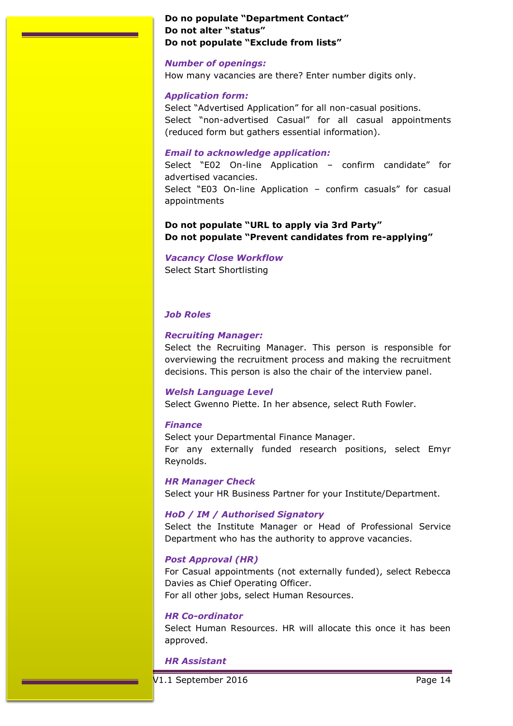### **Do no populate "Department Contact" Do not alter "status" Do not populate "Exclude from lists"**

### *Number of openings:*

How many vacancies are there? Enter number digits only.

### *Application form:*

Select "Advertised Application" for all non-casual positions. Select "non-advertised Casual" for all casual appointments (reduced form but gathers essential information).

### *Email to acknowledge application:*

Select "E02 On-line Application – confirm candidate" for advertised vacancies. Select "E03 On-line Application – confirm casuals" for casual appointments

## **Do not populate "URL to apply via 3rd Party" Do not populate "Prevent candidates from re-applying"**

*Vacancy Close Workflow* Select Start Shortlisting

### *Job Roles*

### *Recruiting Manager:*

Select the Recruiting Manager. This person is responsible for overviewing the recruitment process and making the recruitment decisions. This person is also the chair of the interview panel.

### *Welsh Language Level*

Select Gwenno Piette. In her absence, select Ruth Fowler.

### *Finance*

Select your Departmental Finance Manager. For any externally funded research positions, select Emyr Reynolds.

### *HR Manager Check*

Select your HR Business Partner for your Institute/Department.

### *HoD / IM / Authorised Signatory*

Select the Institute Manager or Head of Professional Service Department who has the authority to approve vacancies.

### *Post Approval (HR)*

For Casual appointments (not externally funded), select Rebecca Davies as Chief Operating Officer. For all other jobs, select Human Resources.

### *HR Co-ordinator*

Select Human Resources. HR will allocate this once it has been approved.

### *HR Assistant*

V1.1 September 2016 Page 14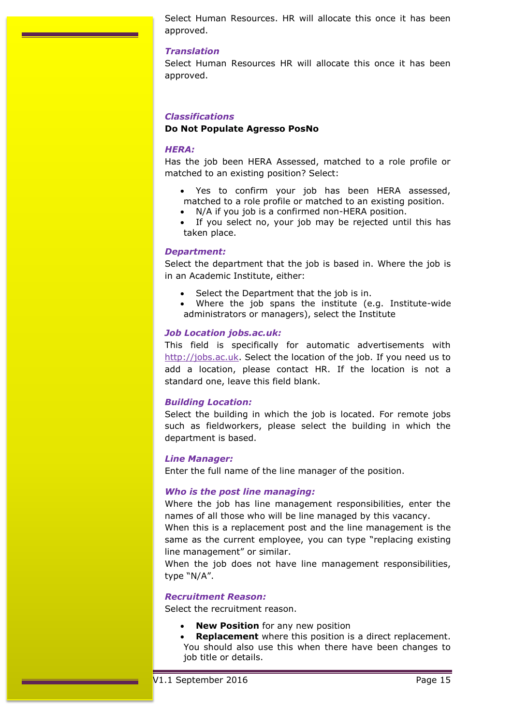Select Human Resources. HR will allocate this once it has been approved.

#### *Translation*

Select Human Resources HR will allocate this once it has been approved.

### *Classifications*

### **Do Not Populate Agresso PosNo**

#### *HERA:*

Has the job been HERA Assessed, matched to a role profile or matched to an existing position? Select:

- Yes to confirm your job has been HERA assessed, matched to a role profile or matched to an existing position.
- N/A if you job is a confirmed non-HERA position.
- If you select no, your job may be rejected until this has taken place.

### *Department:*

Select the department that the job is based in. Where the job is in an Academic Institute, either:

- Select the Department that the job is in.
- Where the job spans the institute (e.g. Institute-wide administrators or managers), select the Institute

#### *Job Location jobs.ac.uk:*

This field is specifically for automatic advertisements with [http://jobs.ac.uk.](http://jobs.ac.uk/) Select the location of the job. If you need us to add a location, please contact HR. If the location is not a standard one, leave this field blank.

### *Building Location:*

Select the building in which the job is located. For remote jobs such as fieldworkers, please select the building in which the department is based.

#### *Line Manager:*

Enter the full name of the line manager of the position.

### *Who is the post line managing:*

Where the job has line management responsibilities, enter the names of all those who will be line managed by this vacancy.

When this is a replacement post and the line management is the same as the current employee, you can type "replacing existing line management" or similar.

When the job does not have line management responsibilities, type "N/A".

#### *Recruitment Reason:*

Select the recruitment reason.

- **New Position** for any new position
- **Replacement** where this position is a direct replacement. You should also use this when there have been changes to job title or details.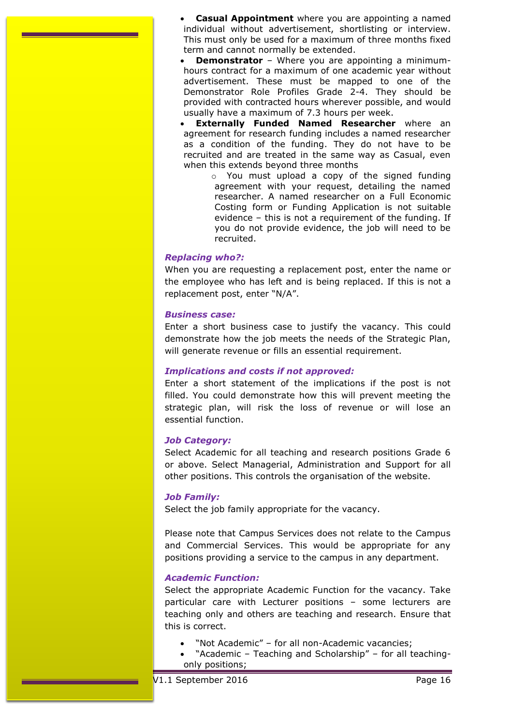**Casual Appointment** where you are appointing a named individual without advertisement, shortlisting or interview. This must only be used for a maximum of three months fixed term and cannot normally be extended.

 **Demonstrator** – Where you are appointing a minimumhours contract for a maximum of one academic year without advertisement. These must be mapped to one of the Demonstrator Role Profiles Grade 2-4. They should be provided with contracted hours wherever possible, and would usually have a maximum of 7.3 hours per week.

 **Externally Funded Named Researcher** where an agreement for research funding includes a named researcher as a condition of the funding. They do not have to be recruited and are treated in the same way as Casual, even when this extends beyond three months

o You must upload a copy of the signed funding agreement with your request, detailing the named researcher. A named researcher on a Full Economic Costing form or Funding Application is not suitable evidence – this is not a requirement of the funding. If you do not provide evidence, the job will need to be recruited.

#### *Replacing who?:*

When you are requesting a replacement post, enter the name or the employee who has left and is being replaced. If this is not a replacement post, enter "N/A".

#### *Business case:*

Enter a short business case to justify the vacancy. This could demonstrate how the job meets the needs of the Strategic Plan, will generate revenue or fills an essential requirement.

#### *Implications and costs if not approved:*

Enter a short statement of the implications if the post is not filled. You could demonstrate how this will prevent meeting the strategic plan, will risk the loss of revenue or will lose an essential function.

#### *Job Category:*

Select Academic for all teaching and research positions Grade 6 or above. Select Managerial, Administration and Support for all other positions. This controls the organisation of the website.

#### *Job Family:*

Select the job family appropriate for the vacancy.

Please note that Campus Services does not relate to the Campus and Commercial Services. This would be appropriate for any positions providing a service to the campus in any department.

### *Academic Function:*

Select the appropriate Academic Function for the vacancy. Take particular care with Lecturer positions – some lecturers are teaching only and others are teaching and research. Ensure that this is correct.

- "Not Academic" for all non-Academic vacancies;
- "Academic Teaching and Scholarship" for all teachingonly positions;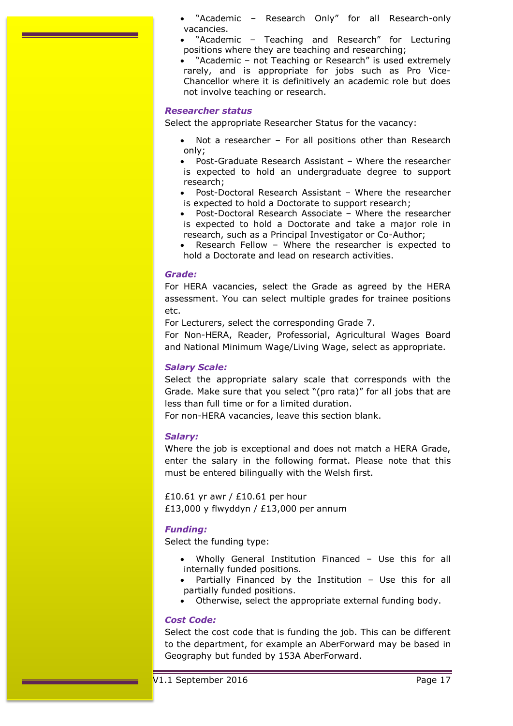- "Academic Research Only" for all Research-only vacancies.
- "Academic Teaching and Research" for Lecturing positions where they are teaching and researching;
- "Academic not Teaching or Research" is used extremely rarely, and is appropriate for jobs such as Pro Vice-Chancellor where it is definitively an academic role but does not involve teaching or research.

#### *Researcher status*

Select the appropriate Researcher Status for the vacancy:

- Not a researcher For all positions other than Research only;
- Post-Graduate Research Assistant Where the researcher is expected to hold an undergraduate degree to support research;
- Post-Doctoral Research Assistant Where the researcher is expected to hold a Doctorate to support research;
- Post-Doctoral Research Associate Where the researcher is expected to hold a Doctorate and take a major role in research, such as a Principal Investigator or Co-Author;
- Research Fellow Where the researcher is expected to hold a Doctorate and lead on research activities.

#### *Grade:*

For HERA vacancies, select the Grade as agreed by the HERA assessment. You can select multiple grades for trainee positions etc.

For Lecturers, select the corresponding Grade 7.

For Non-HERA, Reader, Professorial, Agricultural Wages Board and National Minimum Wage/Living Wage, select as appropriate.

#### *Salary Scale:*

Select the appropriate salary scale that corresponds with the Grade. Make sure that you select "(pro rata)" for all jobs that are less than full time or for a limited duration.

For non-HERA vacancies, leave this section blank.

#### *Salary:*

Where the job is exceptional and does not match a HERA Grade, enter the salary in the following format. Please note that this must be entered bilingually with the Welsh first.

£10.61 yr awr / £10.61 per hour £13,000 y flwyddyn / £13,000 per annum

#### *Funding:*

Select the funding type:

- Wholly General Institution Financed Use this for all internally funded positions.
- Partially Financed by the Institution Use this for all partially funded positions.
- Otherwise, select the appropriate external funding body.

### *Cost Code:*

Select the cost code that is funding the job. This can be different to the department, for example an AberForward may be based in Geography but funded by 153A AberForward.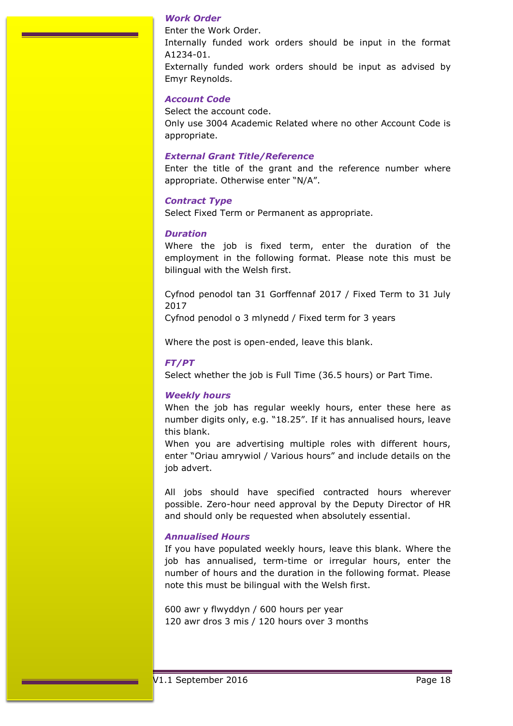#### *Work Order*

Enter the Work Order. Internally funded work orders should be input in the format A1234-01. Externally funded work orders should be input as advised by Emyr Reynolds.

#### *Account Code*

Select the account code. Only use 3004 Academic Related where no other Account Code is appropriate.

#### *External Grant Title/Reference*

Enter the title of the grant and the reference number where appropriate. Otherwise enter "N/A".

#### *Contract Type*

Select Fixed Term or Permanent as appropriate.

#### *Duration*

Where the job is fixed term, enter the duration of the employment in the following format. Please note this must be bilingual with the Welsh first.

Cyfnod penodol tan 31 Gorffennaf 2017 / Fixed Term to 31 July 2017

Cyfnod penodol o 3 mlynedd / Fixed term for 3 years

Where the post is open-ended, leave this blank.

#### *FT/PT*

Select whether the job is Full Time (36.5 hours) or Part Time.

#### *Weekly hours*

When the job has regular weekly hours, enter these here as number digits only, e.g. "18.25". If it has annualised hours, leave this blank.

When you are advertising multiple roles with different hours, enter "Oriau amrywiol / Various hours" and include details on the job advert.

All jobs should have specified contracted hours wherever possible. Zero-hour need approval by the Deputy Director of HR and should only be requested when absolutely essential.

#### *Annualised Hours*

If you have populated weekly hours, leave this blank. Where the job has annualised, term-time or irregular hours, enter the number of hours and the duration in the following format. Please note this must be bilingual with the Welsh first.

600 awr y flwyddyn / 600 hours per year 120 awr dros 3 mis / 120 hours over 3 months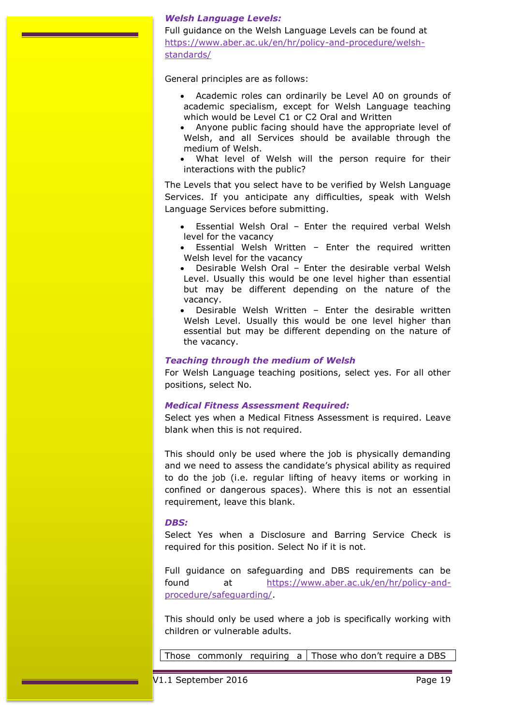### *Welsh Language Levels:*

Full guidance on the Welsh Language Levels can be found at [https://www.aber.ac.uk/en/hr/policy-and-procedure/welsh](https://www.aber.ac.uk/en/hr/policy-and-procedure/welsh-standards/)[standards/](https://www.aber.ac.uk/en/hr/policy-and-procedure/welsh-standards/)

General principles are as follows:

- Academic roles can ordinarily be Level A0 on grounds of academic specialism, except for Welsh Language teaching which would be Level C1 or C2 Oral and Written
- Anyone public facing should have the appropriate level of Welsh, and all Services should be available through the medium of Welsh.
- What level of Welsh will the person require for their interactions with the public?

The Levels that you select have to be verified by Welsh Language Services. If you anticipate any difficulties, speak with Welsh Language Services before submitting.

- Essential Welsh Oral Enter the required verbal Welsh level for the vacancy
- Essential Welsh Written Enter the required written Welsh level for the vacancy
- Desirable Welsh Oral Enter the desirable verbal Welsh Level. Usually this would be one level higher than essential but may be different depending on the nature of the vacancy.
- Desirable Welsh Written Enter the desirable written Welsh Level. Usually this would be one level higher than essential but may be different depending on the nature of the vacancy.

#### *Teaching through the medium of Welsh*

For Welsh Language teaching positions, select yes. For all other positions, select No.

#### *Medical Fitness Assessment Required:*

Select yes when a Medical Fitness Assessment is required. Leave blank when this is not required.

This should only be used where the job is physically demanding and we need to assess the candidate's physical ability as required to do the job (i.e. regular lifting of heavy items or working in confined or dangerous spaces). Where this is not an essential requirement, leave this blank.

#### *DBS:*

Select Yes when a Disclosure and Barring Service Check is required for this position. Select No if it is not.

Full guidance on safeguarding and DBS requirements can be found at [https://www.aber.ac.uk/en/hr/policy-and](https://www.aber.ac.uk/en/hr/policy-and-procedure/safeguarding/)[procedure/safeguarding/.](https://www.aber.ac.uk/en/hr/policy-and-procedure/safeguarding/)

This should only be used where a job is specifically working with children or vulnerable adults.

Those commonly requiring a Those who don't require a DBS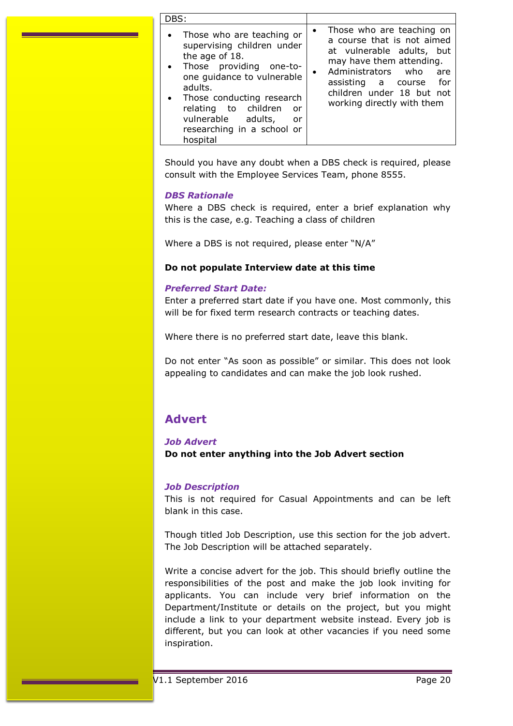| DBS:                                                                                                                                                                                                                                                                           |                                                                                                                                                                                                                                            |
|--------------------------------------------------------------------------------------------------------------------------------------------------------------------------------------------------------------------------------------------------------------------------------|--------------------------------------------------------------------------------------------------------------------------------------------------------------------------------------------------------------------------------------------|
| Those who are teaching or<br>supervising children under<br>the age of 18.<br>Those providing one-to-<br>one guidance to vulnerable<br>adults.<br>Those conducting research<br>relating to children<br>or<br>vulnerable adults,<br>or<br>researching in a school or<br>hospital | Those who are teaching on<br>a course that is not aimed<br>at vulnerable adults, but<br>may have them attending.<br>Administrators who<br>are<br>٠<br>assisting a course<br>for<br>children under 18 but not<br>working directly with them |

Should you have any doubt when a DBS check is required, please consult with the Employee Services Team, phone 8555.

### *DBS Rationale*

Where a DBS check is required, enter a brief explanation why this is the case, e.g. Teaching a class of children

Where a DBS is not required, please enter "N/A"

### **Do not populate Interview date at this time**

### *Preferred Start Date:*

Enter a preferred start date if you have one. Most commonly, this will be for fixed term research contracts or teaching dates.

Where there is no preferred start date, leave this blank.

Do not enter "As soon as possible" or similar. This does not look appealing to candidates and can make the job look rushed.

# <span id="page-19-0"></span>**Advert**

### *Job Advert*

**Do not enter anything into the Job Advert section**

### *Job Description*

This is not required for Casual Appointments and can be left blank in this case.

Though titled Job Description, use this section for the job advert. The Job Description will be attached separately.

Write a concise advert for the job. This should briefly outline the responsibilities of the post and make the job look inviting for applicants. You can include very brief information on the Department/Institute or details on the project, but you might include a link to your department website instead. Every job is different, but you can look at other vacancies if you need some inspiration.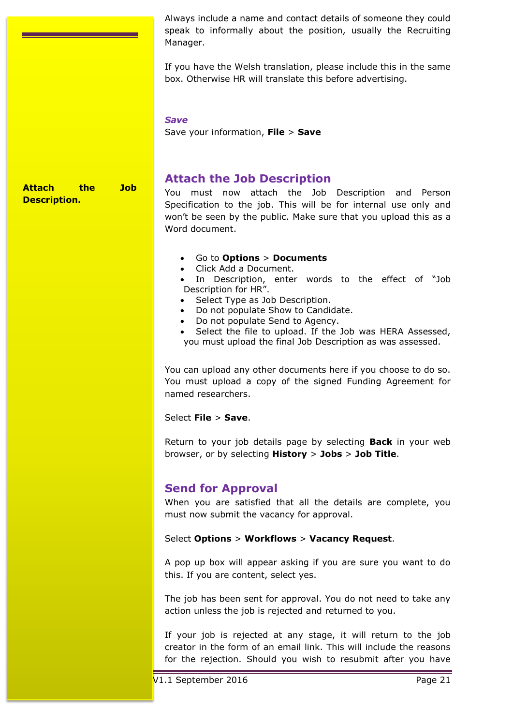Always include a name and contact details of someone they could speak to informally about the position, usually the Recruiting Manager.

If you have the Welsh translation, please include this in the same box. Otherwise HR will translate this before advertising.

#### *Save*

Save your information, **File** > **Save**

### **Attach the Job Description.**

# <span id="page-20-0"></span>**Attach the Job Description**

You must now attach the Job Description and Person Specification to the job. This will be for internal use only and won't be seen by the public. Make sure that you upload this as a Word document.

### Go to **Options** > **Documents**

Click Add a Document.

 In Description, enter words to the effect of "Job Description for HR".

- Select Type as Job Description.
- Do not populate Show to Candidate.
- Do not populate Send to Agency.

 Select the file to upload. If the Job was HERA Assessed, you must upload the final Job Description as was assessed.

You can upload any other documents here if you choose to do so. You must upload a copy of the signed Funding Agreement for named researchers.

Select **File** > **Save**.

Return to your job details page by selecting **Back** in your web browser, or by selecting **History** > **Jobs** > **Job Title**.

# <span id="page-20-1"></span>**Send for Approval**

When you are satisfied that all the details are complete, you must now submit the vacancy for approval.

### Select **Options** > **Workflows** > **Vacancy Request**.

A pop up box will appear asking if you are sure you want to do this. If you are content, select yes.

The job has been sent for approval. You do not need to take any action unless the job is rejected and returned to you.

If your job is rejected at any stage, it will return to the job creator in the form of an email link. This will include the reasons for the rejection. Should you wish to resubmit after you have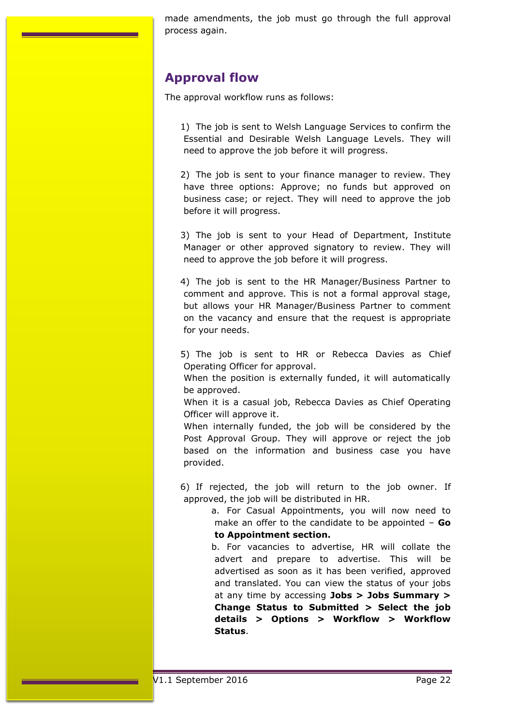made amendments, the job must go through the full approval process again.

# <span id="page-21-0"></span>**Approval flow**

The approval workflow runs as follows:

1) The job is sent to Welsh Language Services to confirm the Essential and Desirable Welsh Language Levels. They will need to approve the job before it will progress.

2) The job is sent to your finance manager to review. They have three options: Approve; no funds but approved on business case; or reject. They will need to approve the job before it will progress.

3) The job is sent to your Head of Department, Institute Manager or other approved signatory to review. They will need to approve the job before it will progress.

4) The job is sent to the HR Manager/Business Partner to comment and approve. This is not a formal approval stage, but allows your HR Manager/Business Partner to comment on the vacancy and ensure that the request is appropriate for your needs.

5) The job is sent to HR or Rebecca Davies as Chief Operating Officer for approval.

When the position is externally funded, it will automatically be approved.

When it is a casual job, Rebecca Davies as Chief Operating Officer will approve it.

When internally funded, the job will be considered by the Post Approval Group. They will approve or reject the job based on the information and business case you have provided.

6) If rejected, the job will return to the job owner. If approved, the job will be distributed in HR.

> a. For Casual Appointments, you will now need to make an offer to the candidate to be appointed – **Go to Appointment section.**

> b. For vacancies to advertise, HR will collate the advert and prepare to advertise. This will be advertised as soon as it has been verified, approved and translated. You can view the status of your jobs at any time by accessing **Jobs > Jobs Summary > Change Status to Submitted > Select the job details > Options > Workflow > Workflow Status**.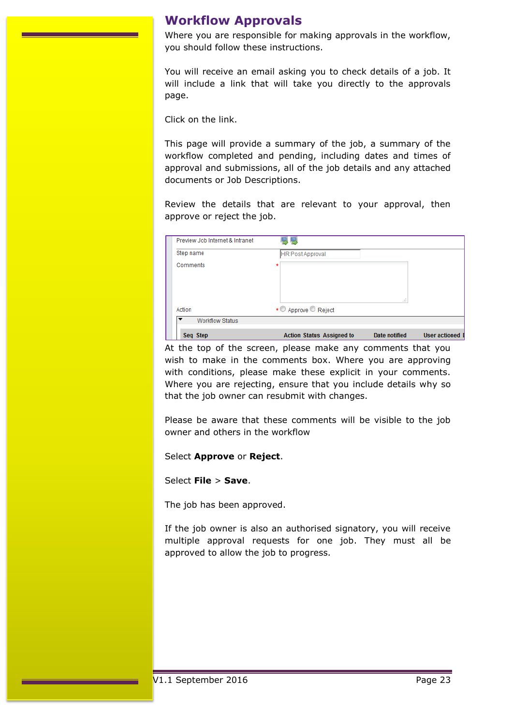# <span id="page-22-0"></span>**Workflow Approvals**

Where you are responsible for making approvals in the workflow, you should follow these instructions.

You will receive an email asking you to check details of a job. It will include a link that will take you directly to the approvals page.

Click on the link.

This page will provide a summary of the job, a summary of the workflow completed and pending, including dates and times of approval and submissions, all of the job details and any attached documents or Job Descriptions.

Review the details that are relevant to your approval, then approve or reject the job.

| Preview Job Internet & Intranet                    |                                  |                      |                        |
|----------------------------------------------------|----------------------------------|----------------------|------------------------|
| Step name                                          | <b>HR Post Approval</b>          |                      |                        |
| Comments                                           |                                  |                      |                        |
|                                                    |                                  |                      |                        |
|                                                    |                                  |                      |                        |
|                                                    |                                  | zi.                  |                        |
| Action                                             | • Approve Reject                 |                      |                        |
| $\overline{\phantom{a}}$<br><b>Workflow Status</b> |                                  |                      |                        |
| Seq Step                                           | <b>Action Status Assigned to</b> | <b>Date notified</b> | <b>User actioned [</b> |

At the top of the screen, please make any comments that you wish to make in the comments box. Where you are approving with conditions, please make these explicit in your comments. Where you are rejecting, ensure that you include details why so that the job owner can resubmit with changes.

Please be aware that these comments will be visible to the job owner and others in the workflow

Select **Approve** or **Reject**.

Select **File** > **Save**.

The job has been approved.

If the job owner is also an authorised signatory, you will receive multiple approval requests for one job. They must all be approved to allow the job to progress.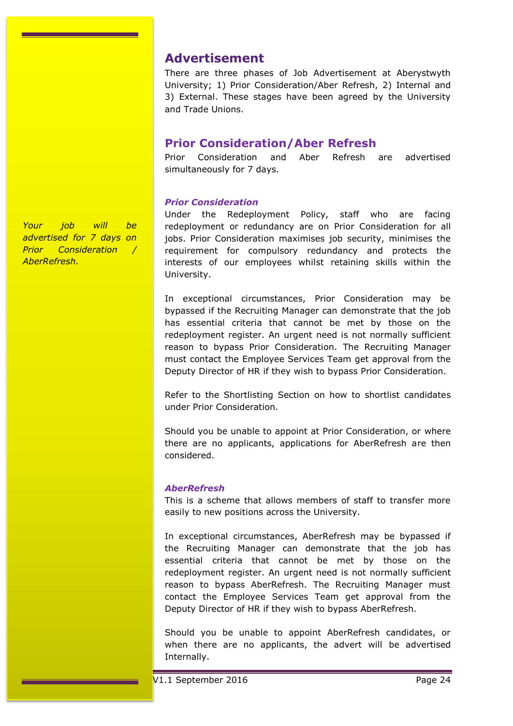## <span id="page-23-0"></span>**Advertisement**

There are three phases of Job Advertisement at Aberystwyth University; 1) Prior Consideration/Aber Refresh, 2) Internal and 3) External. These stages have been agreed by the University and Trade Unions.

# <span id="page-23-1"></span>**Prior Consideration/Aber Refresh**

Prior Consideration and Aber Refresh are advertised simultaneously for 7 days.

### *Prior Consideration*

Under the Redeployment Policy, staff who are facing redeployment or redundancy are on Prior Consideration for all jobs. Prior Consideration maximises job security, minimises the requirement for compulsory redundancy and protects the interests of our employees whilst retaining skills within the University.

In exceptional circumstances, Prior Consideration may be bypassed if the Recruiting Manager can demonstrate that the job has essential criteria that cannot be met by those on the redeployment register. An urgent need is not normally sufficient reason to bypass Prior Consideration. The Recruiting Manager must contact the Employee Services Team get approval from the Deputy Director of HR if they wish to bypass Prior Consideration.

Refer to the Shortlisting Section on how to shortlist candidates under Prior Consideration.

Should you be unable to appoint at Prior Consideration, or where there are no applicants, applications for AberRefresh are then considered.

### *AberRefresh*

This is a scheme that allows members of staff to transfer more easily to new positions across the University.

In exceptional circumstances, AberRefresh may be bypassed if the Recruiting Manager can demonstrate that the job has essential criteria that cannot be met by those on the redeployment register. An urgent need is not normally sufficient reason to bypass AberRefresh. The Recruiting Manager must contact the Employee Services Team get approval from the Deputy Director of HR if they wish to bypass AberRefresh.

Should you be unable to appoint AberRefresh candidates, or when there are no applicants, the advert will be advertised Internally.

*Your job will be advertised for 7 days on Prior Consideration / AberRefresh.*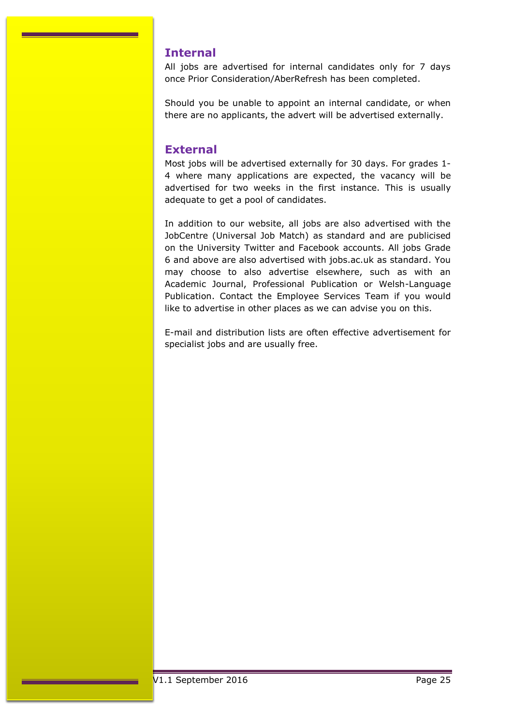# <span id="page-24-0"></span>**Internal**

All jobs are advertised for internal candidates only for 7 days once Prior Consideration/AberRefresh has been completed.

Should you be unable to appoint an internal candidate, or when there are no applicants, the advert will be advertised externally.

# <span id="page-24-1"></span>**External**

Most jobs will be advertised externally for 30 days. For grades 1- 4 where many applications are expected, the vacancy will be advertised for two weeks in the first instance. This is usually adequate to get a pool of candidates.

In addition to our website, all jobs are also advertised with the JobCentre (Universal Job Match) as standard and are publicised on the University Twitter and Facebook accounts. All jobs Grade 6 and above are also advertised with jobs.ac.uk as standard. You may choose to also advertise elsewhere, such as with an Academic Journal, Professional Publication or Welsh-Language Publication. Contact the Employee Services Team if you would like to advertise in other places as we can advise you on this.

E-mail and distribution lists are often effective advertisement for specialist jobs and are usually free.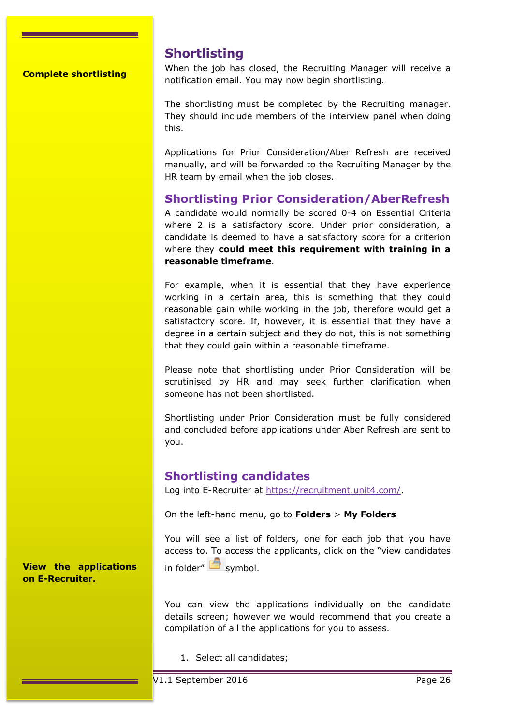**Complete shortlisting**

# <span id="page-25-0"></span>**Shortlisting**

When the job has closed, the Recruiting Manager will receive a notification email. You may now begin shortlisting.

The shortlisting must be completed by the Recruiting manager. They should include members of the interview panel when doing this.

Applications for Prior Consideration/Aber Refresh are received manually, and will be forwarded to the Recruiting Manager by the HR team by email when the job closes.

# **Shortlisting Prior Consideration/AberRefresh**

A candidate would normally be scored 0-4 on Essential Criteria where 2 is a satisfactory score. Under prior consideration, a candidate is deemed to have a satisfactory score for a criterion where they **could meet this requirement with training in a reasonable timeframe**.

For example, when it is essential that they have experience working in a certain area, this is something that they could reasonable gain while working in the job, therefore would get a satisfactory score. If, however, it is essential that they have a degree in a certain subject and they do not, this is not something that they could gain within a reasonable timeframe.

Please note that shortlisting under Prior Consideration will be scrutinised by HR and may seek further clarification when someone has not been shortlisted.

Shortlisting under Prior Consideration must be fully considered and concluded before applications under Aber Refresh are sent to you.

# **Shortlisting candidates**

Log into E-Recruiter at [https://recruitment.unit4.com/.](https://recruitment.unit4.com/)

On the left-hand menu, go to **Folders** > **My Folders**

You will see a list of folders, one for each job that you have access to. To access the applicants, click on the "view candidates in folder"  $\mathbf{s}$  symbol.

**View the applications on E-Recruiter.**

> You can view the applications individually on the candidate details screen; however we would recommend that you create a compilation of all the applications for you to assess.

1. Select all candidates;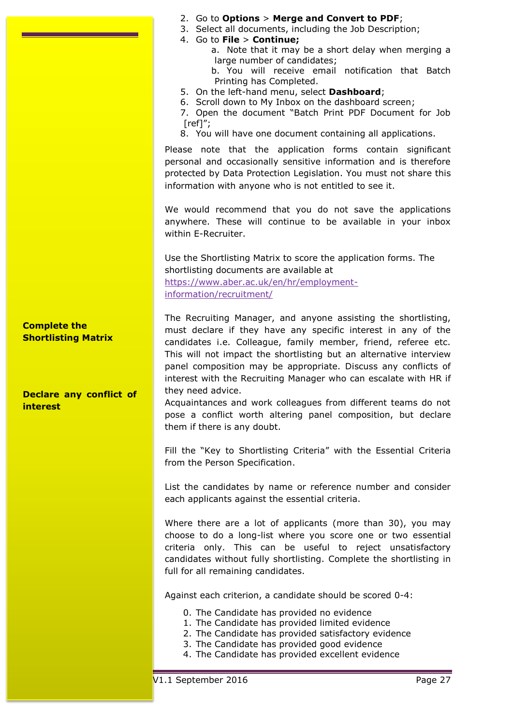2. Go to **Options** > **Merge and Convert to PDF**; 3. Select all documents, including the Job Description; 4. Go to **File** > **Continue;** a. Note that it may be a short delay when merging a large number of candidates; b. You will receive email notification that Batch Printing has Completed. 5. On the left-hand menu, select **Dashboard**; 6. Scroll down to My Inbox on the dashboard screen; 7. Open the document "Batch Print PDF Document for Job  $[ref]$ "; 8. You will have one document containing all applications. Please note that the application forms contain significant personal and occasionally sensitive information and is therefore protected by Data Protection Legislation. You must not share this information with anyone who is not entitled to see it. We would recommend that you do not save the applications anywhere. These will continue to be available in your inbox within E-Recruiter. Use the Shortlisting Matrix to score the application forms. The shortlisting documents are available at [https://www.aber.ac.uk/en/hr/employment](https://www.aber.ac.uk/en/hr/employment-information/recruitment/)[information/recruitment/](https://www.aber.ac.uk/en/hr/employment-information/recruitment/) The Recruiting Manager, and anyone assisting the shortlisting, must declare if they have any specific interest in any of the candidates i.e. Colleague, family member, friend, referee etc. This will not impact the shortlisting but an alternative interview panel composition may be appropriate. Discuss any conflicts of interest with the Recruiting Manager who can escalate with HR if they need advice. Acquaintances and work colleagues from different teams do not pose a conflict worth altering panel composition, but declare them if there is any doubt. Fill the "Key to Shortlisting Criteria" with the Essential Criteria from the Person Specification. List the candidates by name or reference number and consider each applicants against the essential criteria. Where there are a lot of applicants (more than 30), you may **Complete the Shortlisting Matrix Declare any conflict of interest**

choose to do a long-list where you score one or two essential criteria only. This can be useful to reject unsatisfactory candidates without fully shortlisting. Complete the shortlisting in full for all remaining candidates.

Against each criterion, a candidate should be scored 0-4:

- 0. The Candidate has provided no evidence
- 1. The Candidate has provided limited evidence
- 2. The Candidate has provided satisfactory evidence
- 3. The Candidate has provided good evidence
- 4. The Candidate has provided excellent evidence

V1.1 September 2016 Page 27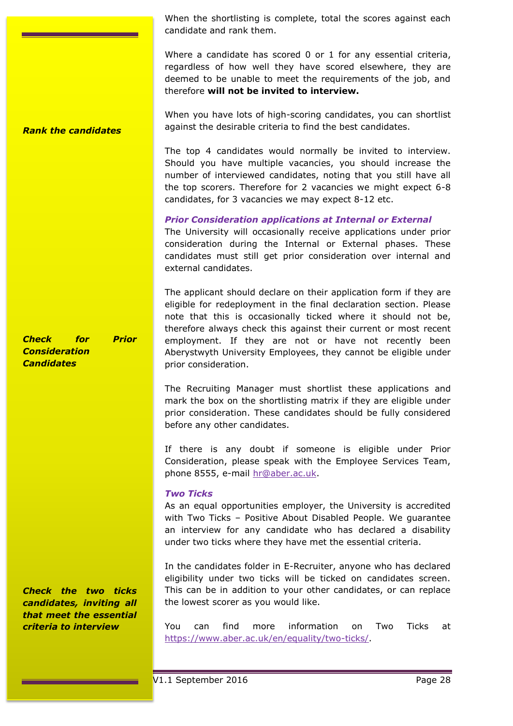When the shortlisting is complete, total the scores against each candidate and rank them.

Where a candidate has scored 0 or 1 for any essential criteria, regardless of how well they have scored elsewhere, they are deemed to be unable to meet the requirements of the job, and therefore **will not be invited to interview.**

When you have lots of high-scoring candidates, you can shortlist against the desirable criteria to find the best candidates. *Rank the candidates*

> The top 4 candidates would normally be invited to interview. Should you have multiple vacancies, you should increase the number of interviewed candidates, noting that you still have all the top scorers. Therefore for 2 vacancies we might expect 6-8 candidates, for 3 vacancies we may expect 8-12 etc.

> *Prior Consideration applications at Internal or External* The University will occasionally receive applications under prior consideration during the Internal or External phases. These candidates must still get prior consideration over internal and external candidates.

> The applicant should declare on their application form if they are eligible for redeployment in the final declaration section. Please note that this is occasionally ticked where it should not be, therefore always check this against their current or most recent employment. If they are not or have not recently been Aberystwyth University Employees, they cannot be eligible under prior consideration.

> The Recruiting Manager must shortlist these applications and mark the box on the shortlisting matrix if they are eligible under prior consideration. These candidates should be fully considered before any other candidates.

> If there is any doubt if someone is eligible under Prior Consideration, please speak with the Employee Services Team, phone 8555, e-mail [hr@aber.ac.uk.](mailto:hr@aber.ac.uk)

### *Two Ticks*

As an equal opportunities employer, the University is accredited with Two Ticks – Positive About Disabled People. We guarantee an interview for any candidate who has declared a disability under two ticks where they have met the essential criteria.

In the candidates folder in E-Recruiter, anyone who has declared eligibility under two ticks will be ticked on candidates screen. This can be in addition to your other candidates, or can replace the lowest scorer as you would like.

You can find more information on Two Ticks at [https://www.aber.ac.uk/en/equality/two-ticks/.](https://www.aber.ac.uk/en/equality/two-ticks/)

*Check for Prior Consideration Candidates*

*Check the two ticks candidates, inviting all that meet the essential criteria to interview*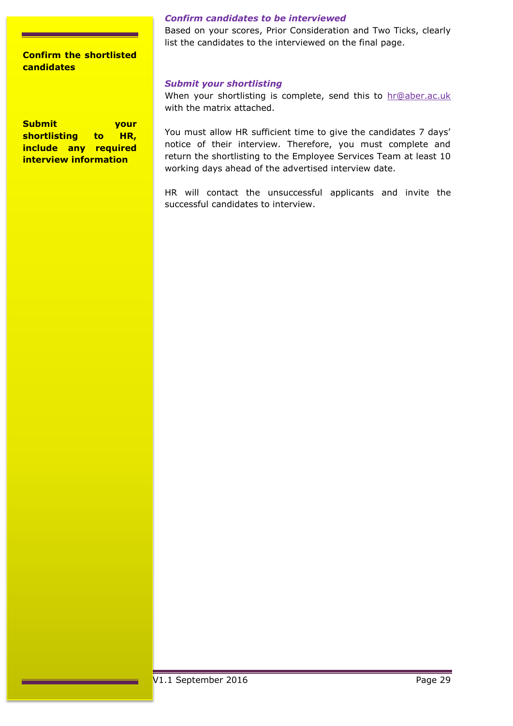## **Confirm the shortlisted candidates**

**Submit your shortlisting to HR, include any required interview information**

### *Confirm candidates to be interviewed*

Based on your scores, Prior Consideration and Two Ticks, clearly list the candidates to the interviewed on the final page.

#### *Submit your shortlisting*

When your shortlisting is complete, send this to [hr@aber.ac.uk](mailto:hr@aber.ac.uk) with the matrix attached.

You must allow HR sufficient time to give the candidates 7 days' notice of their interview. Therefore, you must complete and return the shortlisting to the Employee Services Team at least 10 working days ahead of the advertised interview date.

HR will contact the unsuccessful applicants and invite the successful candidates to interview.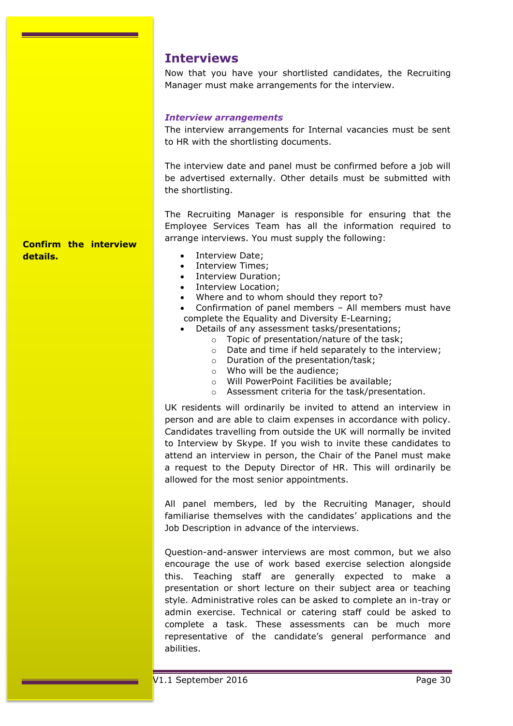# <span id="page-29-0"></span>**Interviews**

Now that you have your shortlisted candidates, the Recruiting Manager must make arrangements for the interview.

#### *Interview arrangements*

The interview arrangements for Internal vacancies must be sent to HR with the shortlisting documents.

The interview date and panel must be confirmed before a job will be advertised externally. Other details must be submitted with the shortlisting.

The Recruiting Manager is responsible for ensuring that the Employee Services Team has all the information required to arrange interviews. You must supply the following:

**Confirm the interview details.**

- Interview Date;
- Interview Times;
- Interview Duration;
- Interview Location;
- Where and to whom should they report to?
- Confirmation of panel members All members must have complete the Equality and Diversity E-Learning;
- Details of any assessment tasks/presentations;
	- o Topic of presentation/nature of the task;
	- o Date and time if held separately to the interview;
	- o Duration of the presentation/task;
	- o Who will be the audience;
	- o Will PowerPoint Facilities be available;
	- o Assessment criteria for the task/presentation.

UK residents will ordinarily be invited to attend an interview in person and are able to claim expenses in accordance with policy. Candidates travelling from outside the UK will normally be invited to Interview by Skype. If you wish to invite these candidates to attend an interview in person, the Chair of the Panel must make a request to the Deputy Director of HR. This will ordinarily be allowed for the most senior appointments.

All panel members, led by the Recruiting Manager, should familiarise themselves with the candidates' applications and the Job Description in advance of the interviews.

Question-and-answer interviews are most common, but we also encourage the use of work based exercise selection alongside this. Teaching staff are generally expected to make a presentation or short lecture on their subject area or teaching style. Administrative roles can be asked to complete an in-tray or admin exercise. Technical or catering staff could be asked to complete a task. These assessments can be much more representative of the candidate's general performance and abilities.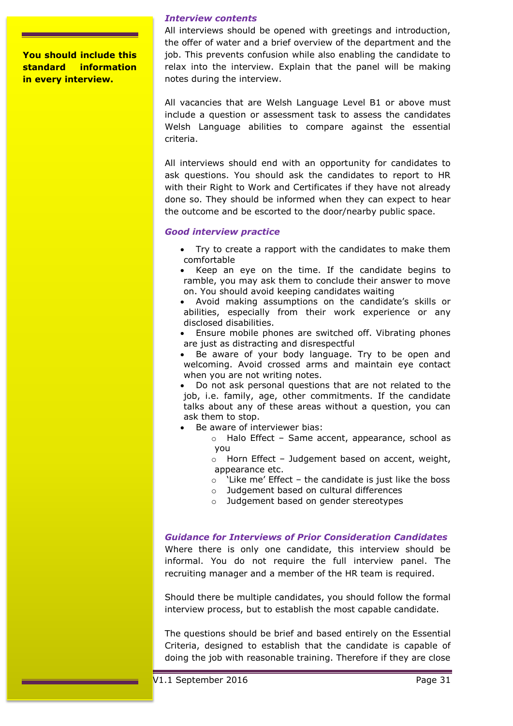**You should include this standard information in every interview.**

#### *Interview contents*

All interviews should be opened with greetings and introduction, the offer of water and a brief overview of the department and the job. This prevents confusion while also enabling the candidate to relax into the interview. Explain that the panel will be making notes during the interview.

All vacancies that are Welsh Language Level B1 or above must include a question or assessment task to assess the candidates Welsh Language abilities to compare against the essential criteria.

All interviews should end with an opportunity for candidates to ask questions. You should ask the candidates to report to HR with their Right to Work and Certificates if they have not already done so. They should be informed when they can expect to hear the outcome and be escorted to the door/nearby public space.

#### *Good interview practice*

- Try to create a rapport with the candidates to make them comfortable
- Keep an eye on the time. If the candidate begins to ramble, you may ask them to conclude their answer to move on. You should avoid keeping candidates waiting
- Avoid making assumptions on the candidate's skills or abilities, especially from their work experience or any disclosed disabilities.
- Ensure mobile phones are switched off. Vibrating phones are just as distracting and disrespectful
- Be aware of your body language. Try to be open and welcoming. Avoid crossed arms and maintain eye contact when you are not writing notes.
- Do not ask personal questions that are not related to the job, i.e. family, age, other commitments. If the candidate talks about any of these areas without a question, you can ask them to stop.
- Be aware of interviewer bias:
	- o Halo Effect Same accent, appearance, school as you
	- $\circ$  Horn Effect Judgement based on accent, weight, appearance etc.
	- $\circ$  'Like me' Effect the candidate is just like the boss
	- o Judgement based on cultural differences
	- o Judgement based on gender stereotypes

### *Guidance for Interviews of Prior Consideration Candidates*

Where there is only one candidate, this interview should be informal. You do not require the full interview panel. The recruiting manager and a member of the HR team is required.

Should there be multiple candidates, you should follow the formal interview process, but to establish the most capable candidate.

The questions should be brief and based entirely on the Essential Criteria, designed to establish that the candidate is capable of doing the job with reasonable training. Therefore if they are close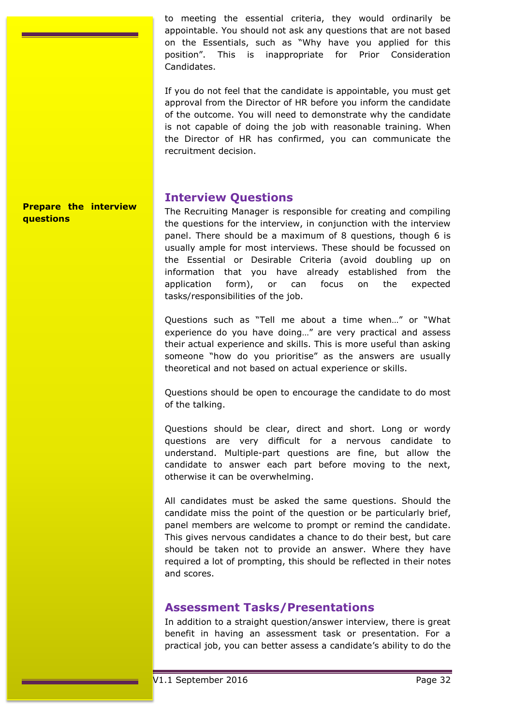to meeting the essential criteria, they would ordinarily be appointable. You should not ask any questions that are not based on the Essentials, such as "Why have you applied for this position". This is inappropriate for Prior Consideration Candidates.

If you do not feel that the candidate is appointable, you must get approval from the Director of HR before you inform the candidate of the outcome. You will need to demonstrate why the candidate is not capable of doing the job with reasonable training. When the Director of HR has confirmed, you can communicate the recruitment decision.

# **Interview Questions**

The Recruiting Manager is responsible for creating and compiling the questions for the interview, in conjunction with the interview panel. There should be a maximum of 8 questions, though 6 is usually ample for most interviews. These should be focussed on the Essential or Desirable Criteria (avoid doubling up on information that you have already established from the application form), or can focus on the expected tasks/responsibilities of the job.

Questions such as "Tell me about a time when…" or "What experience do you have doing…" are very practical and assess their actual experience and skills. This is more useful than asking someone "how do you prioritise" as the answers are usually theoretical and not based on actual experience or skills.

Questions should be open to encourage the candidate to do most of the talking.

Questions should be clear, direct and short. Long or wordy questions are very difficult for a nervous candidate to understand. Multiple-part questions are fine, but allow the candidate to answer each part before moving to the next, otherwise it can be overwhelming.

All candidates must be asked the same questions. Should the candidate miss the point of the question or be particularly brief, panel members are welcome to prompt or remind the candidate. This gives nervous candidates a chance to do their best, but care should be taken not to provide an answer. Where they have required a lot of prompting, this should be reflected in their notes and scores.

# **Assessment Tasks/Presentations**

In addition to a straight question/answer interview, there is great benefit in having an assessment task or presentation. For a practical job, you can better assess a candidate's ability to do the

### **Prepare the interview questions**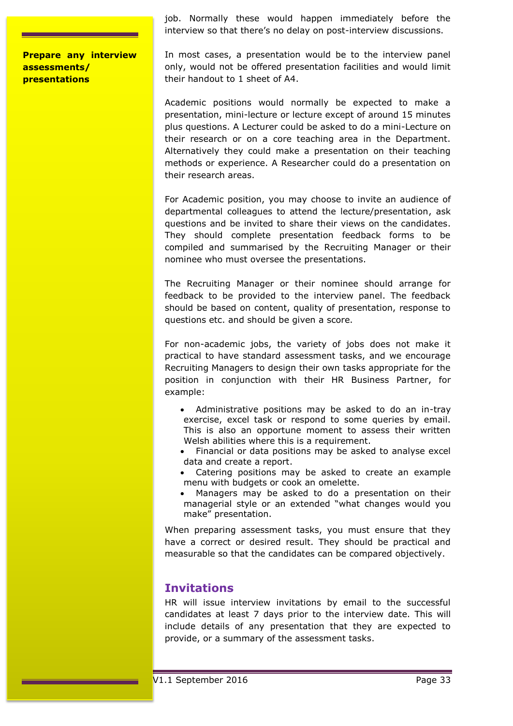job. Normally these would happen immediately before the interview so that there's no delay on post-interview discussions.

**Prepare any interview assessments/ presentations**

In most cases, a presentation would be to the interview panel only, would not be offered presentation facilities and would limit their handout to 1 sheet of A4.

Academic positions would normally be expected to make a presentation, mini-lecture or lecture except of around 15 minutes plus questions. A Lecturer could be asked to do a mini-Lecture on their research or on a core teaching area in the Department. Alternatively they could make a presentation on their teaching methods or experience. A Researcher could do a presentation on their research areas.

For Academic position, you may choose to invite an audience of departmental colleagues to attend the lecture/presentation, ask questions and be invited to share their views on the candidates. They should complete presentation feedback forms to be compiled and summarised by the Recruiting Manager or their nominee who must oversee the presentations.

The Recruiting Manager or their nominee should arrange for feedback to be provided to the interview panel. The feedback should be based on content, quality of presentation, response to questions etc. and should be given a score.

For non-academic jobs, the variety of jobs does not make it practical to have standard assessment tasks, and we encourage Recruiting Managers to design their own tasks appropriate for the position in conjunction with their HR Business Partner, for example:

- Administrative positions may be asked to do an in-tray exercise, excel task or respond to some queries by email. This is also an opportune moment to assess their written Welsh abilities where this is a requirement.
- Financial or data positions may be asked to analyse excel data and create a report.
- Catering positions may be asked to create an example menu with budgets or cook an omelette.
- Managers may be asked to do a presentation on their managerial style or an extended "what changes would you make" presentation.

When preparing assessment tasks, you must ensure that they have a correct or desired result. They should be practical and measurable so that the candidates can be compared objectively.

# **Invitations**

HR will issue interview invitations by email to the successful candidates at least 7 days prior to the interview date. This will include details of any presentation that they are expected to provide, or a summary of the assessment tasks.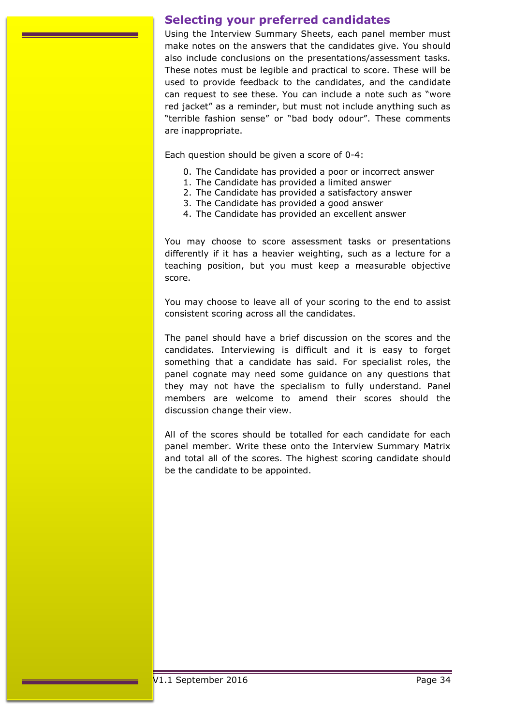# <span id="page-33-0"></span>**Selecting your preferred candidates**

Using the Interview Summary Sheets, each panel member must make notes on the answers that the candidates give. You should also include conclusions on the presentations/assessment tasks. These notes must be legible and practical to score. These will be used to provide feedback to the candidates, and the candidate can request to see these. You can include a note such as "wore red jacket" as a reminder, but must not include anything such as "terrible fashion sense" or "bad body odour". These comments are inappropriate.

Each question should be given a score of 0-4:

- 0. The Candidate has provided a poor or incorrect answer
- 1. The Candidate has provided a limited answer
- 2. The Candidate has provided a satisfactory answer
- 3. The Candidate has provided a good answer
- 4. The Candidate has provided an excellent answer

You may choose to score assessment tasks or presentations differently if it has a heavier weighting, such as a lecture for a teaching position, but you must keep a measurable objective score.

You may choose to leave all of your scoring to the end to assist consistent scoring across all the candidates.

The panel should have a brief discussion on the scores and the candidates. Interviewing is difficult and it is easy to forget something that a candidate has said. For specialist roles, the panel cognate may need some guidance on any questions that they may not have the specialism to fully understand. Panel members are welcome to amend their scores should the discussion change their view.

All of the scores should be totalled for each candidate for each panel member. Write these onto the Interview Summary Matrix and total all of the scores. The highest scoring candidate should be the candidate to be appointed.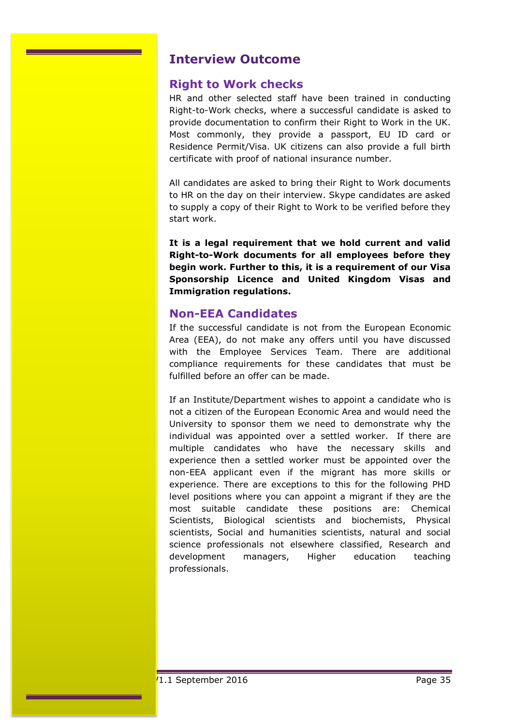# <span id="page-34-0"></span>**Interview Outcome**

# **Right to Work checks**

HR and other selected staff have been trained in conducting Right-to-Work checks, where a successful candidate is asked to provide documentation to confirm their Right to Work in the UK. Most commonly, they provide a passport, EU ID card or Residence Permit/Visa. UK citizens can also provide a full birth certificate with proof of national insurance number.

All candidates are asked to bring their Right to Work documents to HR on the day on their interview. Skype candidates are asked to supply a copy of their Right to Work to be verified before they start work.

**It is a legal requirement that we hold current and valid Right-to-Work documents for all employees before they begin work. Further to this, it is a requirement of our Visa Sponsorship Licence and United Kingdom Visas and Immigration regulations.**

# **Non-EEA Candidates**

If the successful candidate is not from the European Economic Area (EEA), do not make any offers until you have discussed with the Employee Services Team. There are additional compliance requirements for these candidates that must be fulfilled before an offer can be made.

If an Institute/Department wishes to appoint a candidate who is not a citizen of the European Economic Area and would need the University to sponsor them we need to demonstrate why the individual was appointed over a settled worker. If there are multiple candidates who have the necessary skills and experience then a settled worker must be appointed over the non-EEA applicant even if the migrant has more skills or experience. There are exceptions to this for the following PHD level positions where you can appoint a migrant if they are the most suitable candidate these positions are: Chemical Scientists, Biological scientists and biochemists, Physical scientists, Social and humanities scientists, natural and social science professionals not elsewhere classified, Research and development managers, Higher education teaching professionals.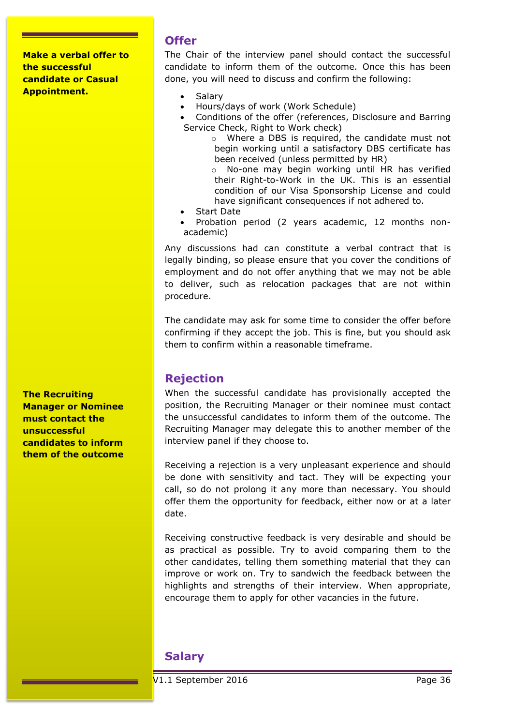**Make a verbal offer to the successful candidate or Casual Appointment.**

# **Offer**

The Chair of the interview panel should contact the successful candidate to inform them of the outcome. Once this has been done, you will need to discuss and confirm the following:

- Salary
- Hours/days of work (Work Schedule)
- Conditions of the offer (references, Disclosure and Barring Service Check, Right to Work check)
	- o Where a DBS is required, the candidate must not begin working until a satisfactory DBS certificate has been received (unless permitted by HR)
	- o No-one may begin working until HR has verified their Right-to-Work in the UK. This is an essential condition of our Visa Sponsorship License and could have significant consequences if not adhered to.
- Start Date
- Probation period (2 years academic, 12 months nonacademic)

Any discussions had can constitute a verbal contract that is legally binding, so please ensure that you cover the conditions of employment and do not offer anything that we may not be able to deliver, such as relocation packages that are not within procedure.

The candidate may ask for some time to consider the offer before confirming if they accept the job. This is fine, but you should ask them to confirm within a reasonable timeframe.

# **Rejection**

When the successful candidate has provisionally accepted the position, the Recruiting Manager or their nominee must contact the unsuccessful candidates to inform them of the outcome. The Recruiting Manager may delegate this to another member of the interview panel if they choose to.

Receiving a rejection is a very unpleasant experience and should be done with sensitivity and tact. They will be expecting your call, so do not prolong it any more than necessary. You should offer them the opportunity for feedback, either now or at a later date.

Receiving constructive feedback is very desirable and should be as practical as possible. Try to avoid comparing them to the other candidates, telling them something material that they can improve or work on. Try to sandwich the feedback between the highlights and strengths of their interview. When appropriate, encourage them to apply for other vacancies in the future.

# **Salary**

**The Recruiting Manager or Nominee must contact the unsuccessful candidates to inform them of the outcome**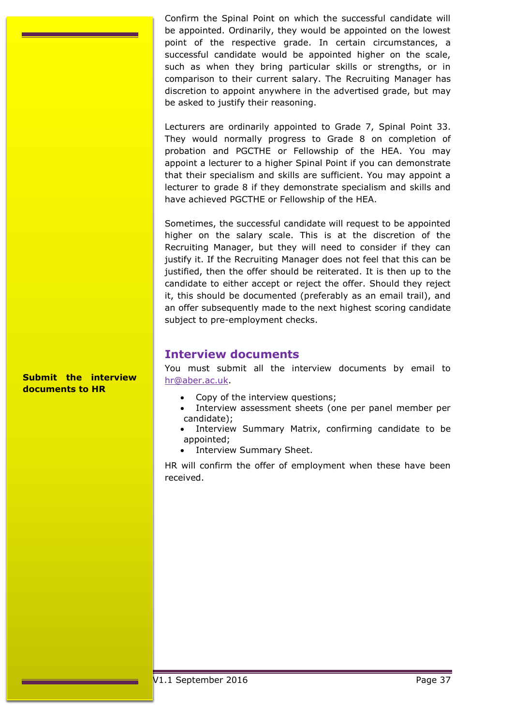Confirm the Spinal Point on which the successful candidate will be appointed. Ordinarily, they would be appointed on the lowest point of the respective grade. In certain circumstances, a successful candidate would be appointed higher on the scale, such as when they bring particular skills or strengths, or in comparison to their current salary. The Recruiting Manager has discretion to appoint anywhere in the advertised grade, but may be asked to justify their reasoning.

Lecturers are ordinarily appointed to Grade 7, Spinal Point 33. They would normally progress to Grade 8 on completion of probation and PGCTHE or Fellowship of the HEA. You may appoint a lecturer to a higher Spinal Point if you can demonstrate that their specialism and skills are sufficient. You may appoint a lecturer to grade 8 if they demonstrate specialism and skills and have achieved PGCTHE or Fellowship of the HEA.

Sometimes, the successful candidate will request to be appointed higher on the salary scale. This is at the discretion of the Recruiting Manager, but they will need to consider if they can justify it. If the Recruiting Manager does not feel that this can be justified, then the offer should be reiterated. It is then up to the candidate to either accept or reject the offer. Should they reject it, this should be documented (preferably as an email trail), and an offer subsequently made to the next highest scoring candidate subject to pre-employment checks.

# **Interview documents**

You must submit all the interview documents by email to [hr@aber.ac.uk.](mailto:hr@aber.ac.uk)

- Copy of the interview questions;
- Interview assessment sheets (one per panel member per candidate);
- Interview Summary Matrix, confirming candidate to be appointed;
- Interview Summary Sheet.

HR will confirm the offer of employment when these have been received.

**Submit the interview documents to HR**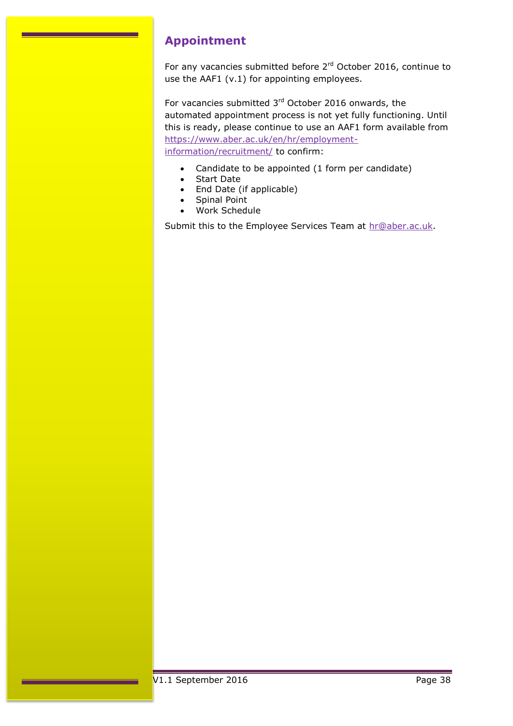# <span id="page-37-0"></span>**Appointment**

For any vacancies submitted before 2<sup>rd</sup> October 2016, continue to use the AAF1 (v.1) for appointing employees.

For vacancies submitted  $3<sup>rd</sup>$  October 2016 onwards, the automated appointment process is not yet fully functioning. Until this is ready, please continue to use an AAF1 form available from [https://www.aber.ac.uk/en/hr/employment](https://www.aber.ac.uk/en/hr/employment-information/recruitment/)[information/recruitment/](https://www.aber.ac.uk/en/hr/employment-information/recruitment/) to confirm:

- Candidate to be appointed (1 form per candidate)
- Start Date
- End Date (if applicable)
- Spinal Point
- Work Schedule

Submit this to the Employee Services Team at [hr@aber.ac.uk.](mailto:hr@aber.ac.uk)